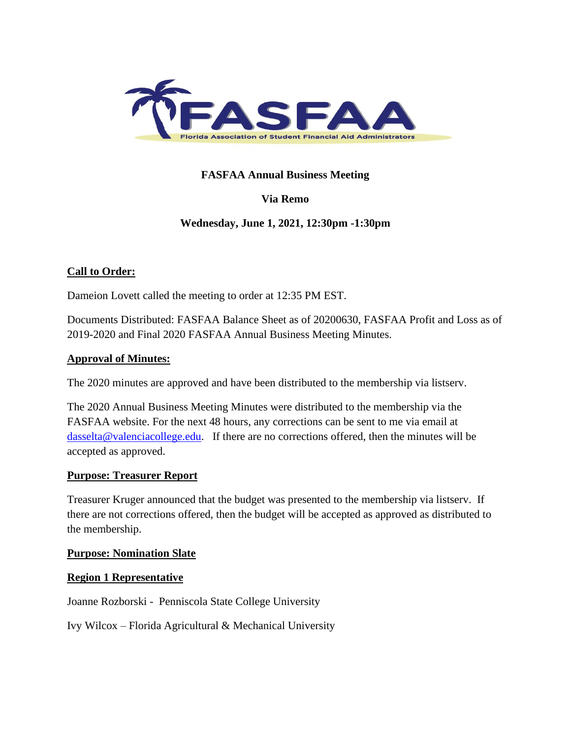

# **FASFAA Annual Business Meeting**

# **Via Remo**

# **Wednesday, June 1, 2021, 12:30pm -1:30pm**

# **Call to Order:**

Dameion Lovett called the meeting to order at 12:35 PM EST.

Documents Distributed: FASFAA Balance Sheet as of 20200630, FASFAA Profit and Loss as of 2019-2020 and Final 2020 FASFAA Annual Business Meeting Minutes.

### **Approval of Minutes:**

The 2020 minutes are approved and have been distributed to the membership via listserv.

The 2020 Annual Business Meeting Minutes were distributed to the membership via the FASFAA website. For the next 48 hours, any corrections can be sent to me via email at [dasselta@valenciacollege.edu.](mailto:dasselta@valenciacollege.edu) If there are no corrections offered, then the minutes will be accepted as approved.

### **Purpose: Treasurer Report**

Treasurer Kruger announced that the budget was presented to the membership via listserv. If there are not corrections offered, then the budget will be accepted as approved as distributed to the membership.

### **Purpose: Nomination Slate**

### **Region 1 Representative**

Joanne Rozborski - Penniscola State College University

Ivy Wilcox – Florida Agricultural & Mechanical University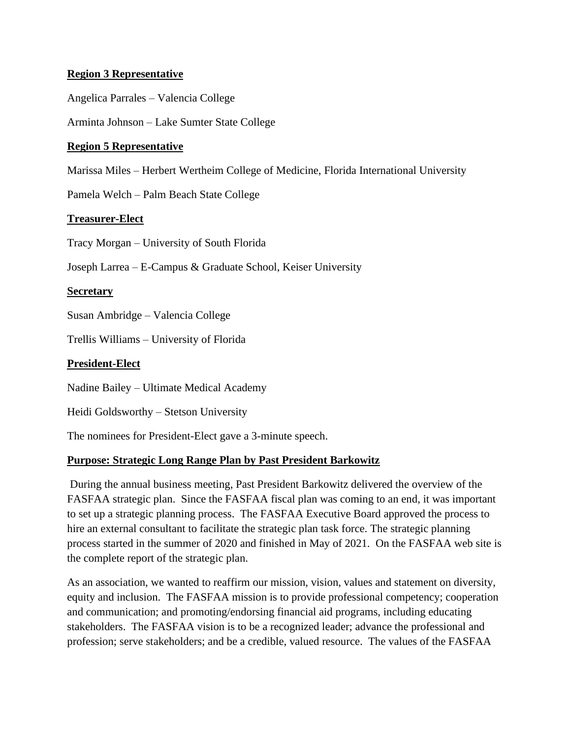### **Region 3 Representative**

Angelica Parrales – Valencia College

Arminta Johnson – Lake Sumter State College

### **Region 5 Representative**

Marissa Miles – Herbert Wertheim College of Medicine, Florida International University

Pamela Welch – Palm Beach State College

### **Treasurer-Elect**

Tracy Morgan – University of South Florida

Joseph Larrea – E-Campus & Graduate School, Keiser University

### **Secretary**

Susan Ambridge – Valencia College

Trellis Williams – University of Florida

### **President-Elect**

Nadine Bailey – Ultimate Medical Academy

Heidi Goldsworthy – Stetson University

The nominees for President-Elect gave a 3-minute speech.

# **Purpose: Strategic Long Range Plan by Past President Barkowitz**

During the annual business meeting, Past President Barkowitz delivered the overview of the FASFAA strategic plan. Since the FASFAA fiscal plan was coming to an end, it was important to set up a strategic planning process. The FASFAA Executive Board approved the process to hire an external consultant to facilitate the strategic plan task force. The strategic planning process started in the summer of 2020 and finished in May of 2021. On the FASFAA web site is the complete report of the strategic plan.

As an association, we wanted to reaffirm our mission, vision, values and statement on diversity, equity and inclusion. The FASFAA mission is to provide professional competency; cooperation and communication; and promoting/endorsing financial aid programs, including educating stakeholders. The FASFAA vision is to be a recognized leader; advance the professional and profession; serve stakeholders; and be a credible, valued resource. The values of the FASFAA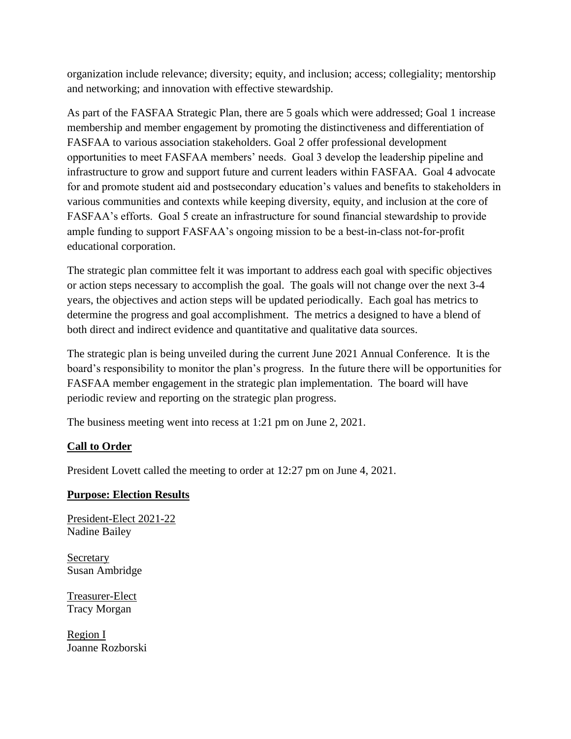organization include relevance; diversity; equity, and inclusion; access; collegiality; mentorship and networking; and innovation with effective stewardship.

As part of the FASFAA Strategic Plan, there are 5 goals which were addressed; Goal 1 increase membership and member engagement by promoting the distinctiveness and differentiation of FASFAA to various association stakeholders. Goal 2 offer professional development opportunities to meet FASFAA members' needs. Goal 3 develop the leadership pipeline and infrastructure to grow and support future and current leaders within FASFAA. Goal 4 advocate for and promote student aid and postsecondary education's values and benefits to stakeholders in various communities and contexts while keeping diversity, equity, and inclusion at the core of FASFAA's efforts. Goal 5 create an infrastructure for sound financial stewardship to provide ample funding to support FASFAA's ongoing mission to be a best-in-class not-for-profit educational corporation.

The strategic plan committee felt it was important to address each goal with specific objectives or action steps necessary to accomplish the goal. The goals will not change over the next 3-4 years, the objectives and action steps will be updated periodically. Each goal has metrics to determine the progress and goal accomplishment. The metrics a designed to have a blend of both direct and indirect evidence and quantitative and qualitative data sources.

The strategic plan is being unveiled during the current June 2021 Annual Conference. It is the board's responsibility to monitor the plan's progress. In the future there will be opportunities for FASFAA member engagement in the strategic plan implementation. The board will have periodic review and reporting on the strategic plan progress.

The business meeting went into recess at 1:21 pm on June 2, 2021.

# **Call to Order**

President Lovett called the meeting to order at 12:27 pm on June 4, 2021.

# **Purpose: Election Results**

President-Elect 2021-22 Nadine Bailey

Secretary Susan Ambridge

Treasurer-Elect Tracy Morgan

Region I Joanne Rozborski